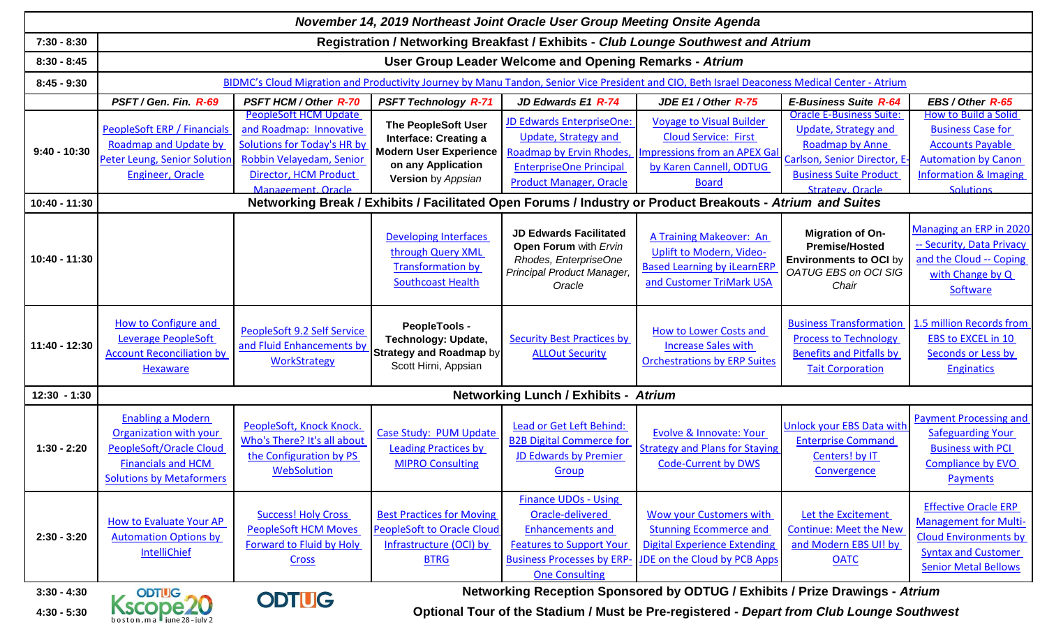| November 14, 2019 Northeast Joint Oracle User Group Meeting Onsite Agenda |                                                                                                                                                                                |                                                                                                                                             |                                                                                                                                                |                                                                                                                                                                             |                                                                                                                                                                                                                        |                                                                                                                                             |                                                                                                                                                          |  |  |  |  |  |  |
|---------------------------------------------------------------------------|--------------------------------------------------------------------------------------------------------------------------------------------------------------------------------|---------------------------------------------------------------------------------------------------------------------------------------------|------------------------------------------------------------------------------------------------------------------------------------------------|-----------------------------------------------------------------------------------------------------------------------------------------------------------------------------|------------------------------------------------------------------------------------------------------------------------------------------------------------------------------------------------------------------------|---------------------------------------------------------------------------------------------------------------------------------------------|----------------------------------------------------------------------------------------------------------------------------------------------------------|--|--|--|--|--|--|
| $7:30 - 8:30$                                                             | Registration / Networking Breakfast / Exhibits - Club Lounge Southwest and Atrium                                                                                              |                                                                                                                                             |                                                                                                                                                |                                                                                                                                                                             |                                                                                                                                                                                                                        |                                                                                                                                             |                                                                                                                                                          |  |  |  |  |  |  |
| $8:30 - 8:45$                                                             | User Group Leader Welcome and Opening Remarks - Atrium                                                                                                                         |                                                                                                                                             |                                                                                                                                                |                                                                                                                                                                             |                                                                                                                                                                                                                        |                                                                                                                                             |                                                                                                                                                          |  |  |  |  |  |  |
| $8:45 - 9:30$                                                             | BIDMC's Cloud Migration and Productivity Journey by Manu Tandon, Senior Vice President and CIO, Beth Israel Deaconess Medical Center - Atrium                                  |                                                                                                                                             |                                                                                                                                                |                                                                                                                                                                             |                                                                                                                                                                                                                        |                                                                                                                                             |                                                                                                                                                          |  |  |  |  |  |  |
|                                                                           | PSFT / Gen. Fin. R-69                                                                                                                                                          | <b>PSFT HCM / Other R-70</b>                                                                                                                | <b>PSFT Technology R-71</b>                                                                                                                    | JD Edwards E1 R-74                                                                                                                                                          | JDE E1 / Other R-75                                                                                                                                                                                                    | <b>E-Business Suite R-64</b>                                                                                                                | EBS / Other R-65                                                                                                                                         |  |  |  |  |  |  |
| $9:40 - 10:30$                                                            | <b>PeopleSoft ERP / Financials</b><br>Roadmap and Update by<br>Peter Leung, Senior Solution<br><b>Engineer, Oracle</b>                                                         | <b>PeopleSoft HCM Update</b><br>and Roadmap: Innovative<br>Solutions for Today's HR by<br>Robbin Velayedam, Senior<br>Director, HCM Product | <b>The PeopleSoft User</b><br><b>Interface: Creating a</b><br><b>Modern User Experience</b><br>on any Application<br><b>Version</b> by Appsian | JD Edwards EnterpriseOne:<br>Update, Strategy and<br>Roadmap by Ervin Rhodes,<br><b>EnterpriseOne Principal</b><br><b>Product Manager, Oracle</b>                           | <b>Voyage to Visual Builder</b><br><b>Cloud Service: First</b><br>Impressions from an APEX Gal<br>by Karen Cannell, ODTUG<br><b>Board</b>                                                                              | <b>Oracle E-Business Suite:</b><br>Update, Strategy and<br>Roadmap by Anne<br>Carlson, Senior Director, E-<br><b>Business Suite Product</b> | How to Build a Solid<br><b>Business Case for</b><br><b>Accounts Payable</b><br><b>Automation by Canon</b><br><b>Information &amp; Imaging</b>            |  |  |  |  |  |  |
| 10:40 - 11:30                                                             | Management, Oracle<br><b>Strategy, Oracle</b><br><b>Solutions</b><br>Networking Break / Exhibits / Facilitated Open Forums / Industry or Product Breakouts - Atrium and Suites |                                                                                                                                             |                                                                                                                                                |                                                                                                                                                                             |                                                                                                                                                                                                                        |                                                                                                                                             |                                                                                                                                                          |  |  |  |  |  |  |
| 10:40 - 11:30                                                             |                                                                                                                                                                                |                                                                                                                                             | <b>Developing Interfaces</b><br>through Query XML<br><b>Transformation by</b><br><b>Southcoast Health</b>                                      | <b>JD Edwards Facilitated</b><br>Open Forum with Ervin<br>Rhodes, EnterpriseOne<br>Principal Product Manager,<br>Oracle                                                     | A Training Makeover: An<br>Uplift to Modern, Video-<br><b>Based Learning by iLearnERP</b><br>and Customer TriMark USA                                                                                                  | <b>Migration of On-</b><br><b>Premise/Hosted</b><br><b>Environments to OCI by</b><br>OATUG EBS on OCI SIG<br>Chair                          | Managing an ERP in 2020<br>-- Security, Data Privacy<br>and the Cloud -- Coping<br>with Change by Q<br>Software                                          |  |  |  |  |  |  |
| 11:40 - 12:30                                                             | How to Configure and<br>Leverage PeopleSoft<br><b>Account Reconciliation by</b><br>Hexaware                                                                                    | PeopleSoft 9.2 Self Service<br>and Fluid Enhancements by<br><b>WorkStrategy</b>                                                             | PeopleTools -<br><b>Technology: Update,</b><br><b>Strategy and Roadmap by</b><br>Scott Hirni, Appsian                                          | <b>Security Best Practices by</b><br><b>ALLOut Security</b>                                                                                                                 | <b>How to Lower Costs and</b><br><b>Increase Sales with</b><br><b>Orchestrations by ERP Suites</b>                                                                                                                     | <b>Business Transformation</b><br><b>Process to Technology</b><br><b>Benefits and Pitfalls by</b><br><b>Tait Corporation</b>                | 1.5 million Records from<br><b>EBS to EXCEL in 10</b><br>Seconds or Less by<br><b>Enginatics</b>                                                         |  |  |  |  |  |  |
| $12:30 - 1:30$                                                            | <b>Networking Lunch / Exhibits - Atrium</b>                                                                                                                                    |                                                                                                                                             |                                                                                                                                                |                                                                                                                                                                             |                                                                                                                                                                                                                        |                                                                                                                                             |                                                                                                                                                          |  |  |  |  |  |  |
| $1:30 - 2:20$                                                             | <b>Enabling a Modern</b><br>Organization with your<br><b>PeopleSoft/Oracle Cloud</b><br><b>Financials and HCM</b><br><b>Solutions by Metaformers</b>                           | PeopleSoft, Knock Knock.<br>Who's There? It's all about<br>the Configuration by PS<br>WebSolution                                           | Case Study: PUM Update<br><b>Leading Practices by</b><br><b>MIPRO Consulting</b>                                                               | Lead or Get Left Behind:<br><b>B2B Digital Commerce for</b><br>JD Edwards by Premier<br>Group                                                                               | Evolve & Innovate: Your<br><b>Strategy and Plans for Staying</b><br><b>Code-Current by DWS</b>                                                                                                                         | <b>Unlock your EBS Data with</b><br><b>Enterprise Command</b><br>Centers! by IT<br>Convergence                                              | <b>Payment Processing and</b><br><b>Safeguarding Your</b><br><b>Business with PCI</b><br><b>Compliance by EVO</b><br>Payments                            |  |  |  |  |  |  |
| $2:30 - 3:20$<br>$3:30 - 4:30$                                            | <b>How to Evaluate Your AP</b><br><b>Automation Options by</b><br><b>IntelliChief</b><br><b>ODTUG</b>                                                                          | <b>Success! Holy Cross</b><br><b>PeopleSoft HCM Moves</b><br>Forward to Fluid by Holy<br>Cross<br><b>ODTILC</b>                             | <b>Best Practices for Moving</b><br><b>PeopleSoft to Oracle Cloud</b><br>Infrastructure (OCI) by<br><b>BTRG</b>                                | <b>Finance UDOs - Using</b><br>Oracle-delivered<br><b>Enhancements and</b><br><b>Features to Support Your</b><br><b>Business Processes by ERP-</b><br><b>One Consulting</b> | <b>Wow your Customers with</b><br><b>Stunning Ecommerce and</b><br><b>Digital Experience Extending</b><br>JDE on the Cloud by PCB Apps<br>Networking Reception Sponsored by ODTUG / Exhibits / Prize Drawings - Atrium | Let the Excitement<br><b>Continue: Meet the New</b><br>and Modern EBS UI! by<br><b>OATC</b>                                                 | <b>Effective Oracle ERP</b><br><b>Management for Multi-</b><br><b>Cloud Environments by</b><br><b>Syntax and Customer</b><br><b>Senior Metal Bellows</b> |  |  |  |  |  |  |

**4:30 - 5:30**

**1999 Metworking Reception Sponsored by ODTUG / Exhibits / Prize Drawings - Atrium<br>
Boston,ma P<sub>june 28-july 2</sub> <b>CODTUG** Optional Tour of the Stadium / Must be Pre-registered - *Depart from Club Lounge Southwest*